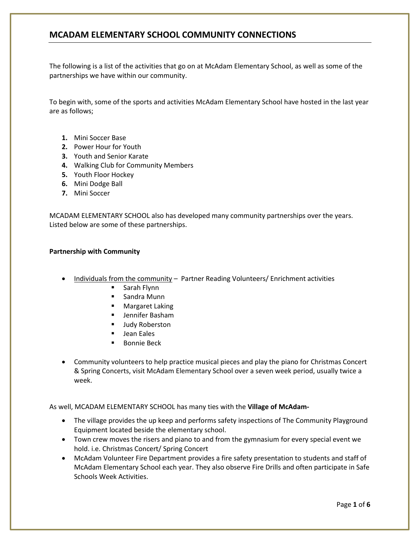The following is a list of the activities that go on at McAdam Elementary School, as well as some of the partnerships we have within our community.

To begin with, some of the sports and activities McAdam Elementary School have hosted in the last year are as follows;

- **1.** Mini Soccer Base
- **2.** Power Hour for Youth
- **3.** Youth and Senior Karate
- **4.** Walking Club for Community Members
- **5.** Youth Floor Hockey
- **6.** Mini Dodge Ball
- **7.** Mini Soccer

MCADAM ELEMENTARY SCHOOL also has developed many community partnerships over the years. Listed below are some of these partnerships.

#### **Partnership with Community**

- Individuals from the community Partner Reading Volunteers/ Enrichment activities
	- Sarah Flynn
	- **Sandra Munn**
	- **•** Margaret Laking
	- Jennifer Basham
	- Judy Roberston
	- **Jean Eales**
	- **Bonnie Beck**
- Community volunteers to help practice musical pieces and play the piano for Christmas Concert & Spring Concerts, visit McAdam Elementary School over a seven week period, usually twice a week.

As well, MCADAM ELEMENTARY SCHOOL has many ties with the **Village of McAdam-**

- The village provides the up keep and performs safety inspections of The Community Playground Equipment located beside the elementary school.
- Town crew moves the risers and piano to and from the gymnasium for every special event we hold. i.e. Christmas Concert/ Spring Concert
- McAdam Volunteer Fire Department provides a fire safety presentation to students and staff of McAdam Elementary School each year. They also observe Fire Drills and often participate in Safe Schools Week Activities.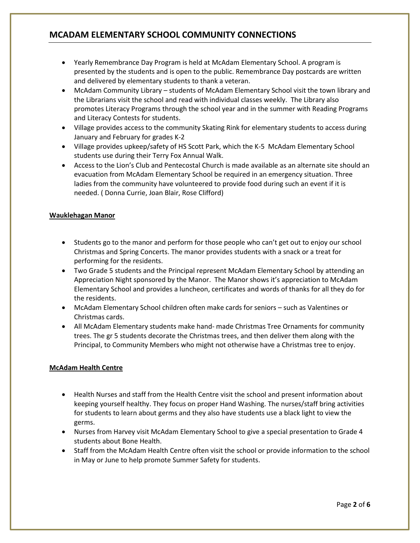- Yearly Remembrance Day Program is held at McAdam Elementary School. A program is presented by the students and is open to the public. Remembrance Day postcards are written and delivered by elementary students to thank a veteran.
- McAdam Community Library students of McAdam Elementary School visit the town library and the Librarians visit the school and read with individual classes weekly. The Library also promotes Literacy Programs through the school year and in the summer with Reading Programs and Literacy Contests for students.
- Village provides access to the community Skating Rink for elementary students to access during January and February for grades K-2
- Village provides upkeep/safety of HS Scott Park, which the K-5 McAdam Elementary School students use during their Terry Fox Annual Walk.
- Access to the Lion's Club and Pentecostal Church is made available as an alternate site should an evacuation from McAdam Elementary School be required in an emergency situation. Three ladies from the community have volunteered to provide food during such an event if it is needed. ( Donna Currie, Joan Blair, Rose Clifford)

### **Wauklehagan Manor**

- Students go to the manor and perform for those people who can't get out to enjoy our school Christmas and Spring Concerts. The manor provides students with a snack or a treat for performing for the residents.
- Two Grade 5 students and the Principal represent McAdam Elementary School by attending an Appreciation Night sponsored by the Manor. The Manor shows it's appreciation to McAdam Elementary School and provides a luncheon, certificates and words of thanks for all they do for the residents.
- McAdam Elementary School children often make cards for seniors such as Valentines or Christmas cards.
- All McAdam Elementary students make hand- made Christmas Tree Ornaments for community trees. The gr 5 students decorate the Christmas trees, and then deliver them along with the Principal, to Community Members who might not otherwise have a Christmas tree to enjoy.

### **McAdam Health Centre**

- Health Nurses and staff from the Health Centre visit the school and present information about keeping yourself healthy. They focus on proper Hand Washing. The nurses/staff bring activities for students to learn about germs and they also have students use a black light to view the germs.
- Nurses from Harvey visit McAdam Elementary School to give a special presentation to Grade 4 students about Bone Health.
- Staff from the McAdam Health Centre often visit the school or provide information to the school in May or June to help promote Summer Safety for students.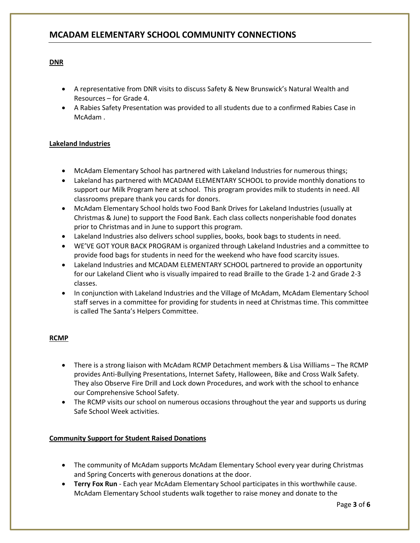### **DNR**

- A representative from DNR visits to discuss Safety & New Brunswick's Natural Wealth and Resources – for Grade 4.
- A Rabies Safety Presentation was provided to all students due to a confirmed Rabies Case in McAdam .

### **Lakeland Industries**

- McAdam Elementary School has partnered with Lakeland Industries for numerous things;
- Lakeland has partnered with MCADAM ELEMENTARY SCHOOL to provide monthly donations to support our Milk Program here at school. This program provides milk to students in need. All classrooms prepare thank you cards for donors.
- McAdam Elementary School holds two Food Bank Drives for Lakeland Industries (usually at Christmas & June) to support the Food Bank. Each class collects nonperishable food donates prior to Christmas and in June to support this program.
- Lakeland Industries also delivers school supplies, books, book bags to students in need.
- WE'VE GOT YOUR BACK PROGRAM is organized through Lakeland Industries and a committee to provide food bags for students in need for the weekend who have food scarcity issues.
- Lakeland Industries and MCADAM ELEMENTARY SCHOOL partnered to provide an opportunity for our Lakeland Client who is visually impaired to read Braille to the Grade 1-2 and Grade 2-3 classes.
- In conjunction with Lakeland Industries and the Village of McAdam, McAdam Elementary School staff serves in a committee for providing for students in need at Christmas time. This committee is called The Santa's Helpers Committee.

### **RCMP**

- There is a strong liaison with McAdam RCMP Detachment members & Lisa Williams The RCMP provides Anti-Bullying Presentations, Internet Safety, Halloween, Bike and Cross Walk Safety. They also Observe Fire Drill and Lock down Procedures, and work with the school to enhance our Comprehensive School Safety.
- The RCMP visits our school on numerous occasions throughout the year and supports us during Safe School Week activities.

### **Community Support for Student Raised Donations**

- The community of McAdam supports McAdam Elementary School every year during Christmas and Spring Concerts with generous donations at the door.
- **Terry Fox Run** Each year McAdam Elementary School participates in this worthwhile cause. McAdam Elementary School students walk together to raise money and donate to the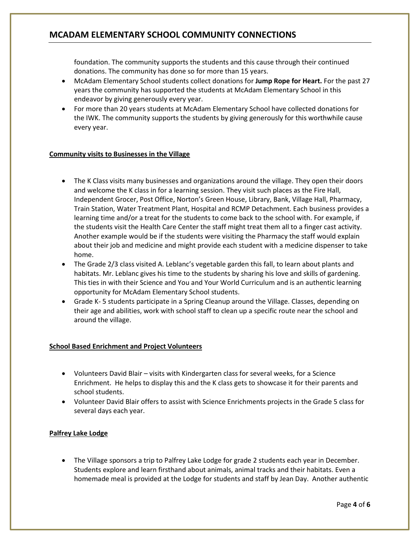foundation. The community supports the students and this cause through their continued donations. The community has done so for more than 15 years.

- McAdam Elementary School students collect donations for **Jump Rope for Heart.** For the past 27 years the community has supported the students at McAdam Elementary School in this endeavor by giving generously every year.
- For more than 20 years students at McAdam Elementary School have collected donations for the IWK. The community supports the students by giving generously for this worthwhile cause every year.

#### **Community visits to Businesses in the Village**

- The K Class visits many businesses and organizations around the village. They open their doors and welcome the K class in for a learning session. They visit such places as the Fire Hall, Independent Grocer, Post Office, Norton's Green House, Library, Bank, Village Hall, Pharmacy, Train Station, Water Treatment Plant, Hospital and RCMP Detachment. Each business provides a learning time and/or a treat for the students to come back to the school with. For example, if the students visit the Health Care Center the staff might treat them all to a finger cast activity. Another example would be if the students were visiting the Pharmacy the staff would explain about their job and medicine and might provide each student with a medicine dispenser to take home.
- The Grade 2/3 class visited A. Leblanc's vegetable garden this fall, to learn about plants and habitats. Mr. Leblanc gives his time to the students by sharing his love and skills of gardening. This ties in with their Science and You and Your World Curriculum and is an authentic learning opportunity for McAdam Elementary School students.
- Grade K- 5 students participate in a Spring Cleanup around the Village. Classes, depending on their age and abilities, work with school staff to clean up a specific route near the school and around the village.

### **School Based Enrichment and Project Volunteers**

- Volunteers David Blair visits with Kindergarten class for several weeks, for a Science Enrichment. He helps to display this and the K class gets to showcase it for their parents and school students.
- Volunteer David Blair offers to assist with Science Enrichments projects in the Grade 5 class for several days each year.

### **Palfrey Lake Lodge**

 The Village sponsors a trip to Palfrey Lake Lodge for grade 2 students each year in December. Students explore and learn firsthand about animals, animal tracks and their habitats. Even a homemade meal is provided at the Lodge for students and staff by Jean Day. Another authentic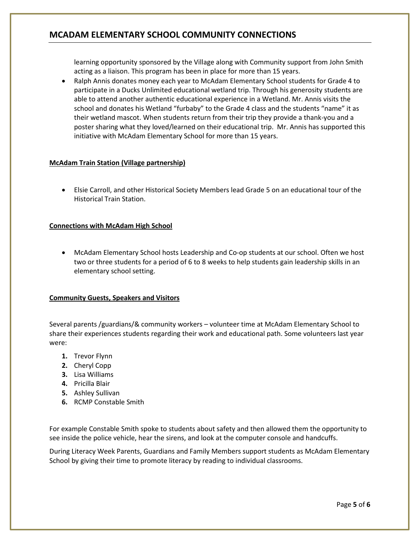learning opportunity sponsored by the Village along with Community support from John Smith acting as a liaison. This program has been in place for more than 15 years.

• Ralph Annis donates money each year to McAdam Elementary School students for Grade 4 to participate in a Ducks Unlimited educational wetland trip. Through his generosity students are able to attend another authentic educational experience in a Wetland. Mr. Annis visits the school and donates his Wetland "furbaby" to the Grade 4 class and the students "name" it as their wetland mascot. When students return from their trip they provide a thank-you and a poster sharing what they loved/learned on their educational trip. Mr. Annis has supported this initiative with McAdam Elementary School for more than 15 years.

### **McAdam Train Station (Village partnership)**

 Elsie Carroll, and other Historical Society Members lead Grade 5 on an educational tour of the Historical Train Station.

### **Connections with McAdam High School**

 McAdam Elementary School hosts Leadership and Co-op students at our school. Often we host two or three students for a period of 6 to 8 weeks to help students gain leadership skills in an elementary school setting.

### **Community Guests, Speakers and Visitors**

Several parents /guardians/& community workers – volunteer time at McAdam Elementary School to share their experiences students regarding their work and educational path. Some volunteers last year were:

- **1.** Trevor Flynn
- **2.** Cheryl Copp
- **3.** Lisa Williams
- **4.** Pricilla Blair
- **5.** Ashley Sullivan
- **6.** RCMP Constable Smith

For example Constable Smith spoke to students about safety and then allowed them the opportunity to see inside the police vehicle, hear the sirens, and look at the computer console and handcuffs.

During Literacy Week Parents, Guardians and Family Members support students as McAdam Elementary School by giving their time to promote literacy by reading to individual classrooms.